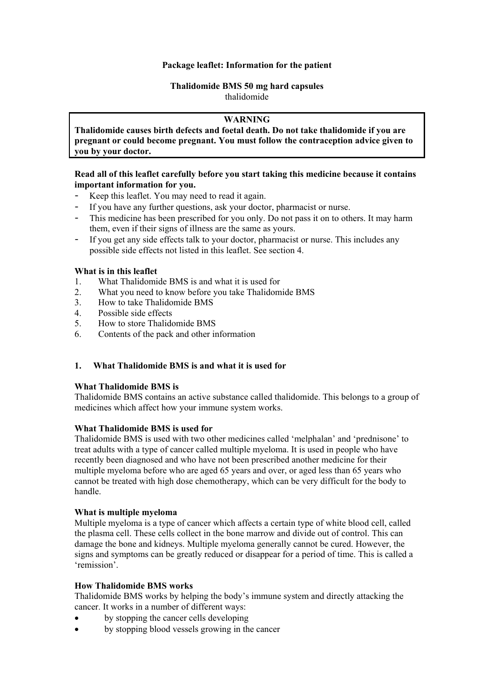#### **Package leaflet: Information for the patient**

#### **Thalidomide BMS 50 mg hard capsules** thalidomide

## **WARNING**

**Thalidomide causes birth defects and foetal death. Do not take thalidomide if you are pregnant or could become pregnant. You must follow the contraception advice given to you by your doctor.**

## **Read all of this leaflet carefully before you start taking this medicine because it contains important information for you.**

- Keep this leaflet. You may need to read it again.
- If you have any further questions, ask your doctor, pharmacist or nurse.
- This medicine has been prescribed for you only. Do not pass it on to others. It may harm them, even if their signs of illness are the same as yours.
- If you get any side effects talk to your doctor, pharmacist or nurse. This includes any possible side effects not listed in this leaflet. See section 4.

## **What is in this leaflet**

- 1. What Thalidomide BMS is and what it is used for
- 2. What you need to know before you take Thalidomide BMS
- 3. How to take Thalidomide BMS
- 4. Possible side effects
- 5. How to store Thalidomide BMS
- 6. Contents of the pack and other information

#### **1. What Thalidomide BMS is and what it is used for**

#### **What Thalidomide BMS is**

Thalidomide BMS contains an active substance called thalidomide. This belongs to a group of medicines which affect how your immune system works.

#### **What Thalidomide BMS is used for**

Thalidomide BMS is used with two other medicines called 'melphalan' and 'prednisone' to treat adults with a type of cancer called multiple myeloma. It is used in people who have recently been diagnosed and who have not been prescribed another medicine for their multiple myeloma before who are aged 65 years and over, or aged less than 65 years who cannot be treated with high dose chemotherapy, which can be very difficult for the body to handle.

#### **What is multiple myeloma**

Multiple myeloma is a type of cancer which affects a certain type of white blood cell, called the plasma cell. These cells collect in the bone marrow and divide out of control. This can damage the bone and kidneys. Multiple myeloma generally cannot be cured. However, the signs and symptoms can be greatly reduced or disappear for a period of time. This is called a 'remission'.

#### **How Thalidomide BMS works**

Thalidomide BMS works by helping the body's immune system and directly attacking the cancer. It works in a number of different ways:

- by stopping the cancer cells developing
- by stopping blood vessels growing in the cancer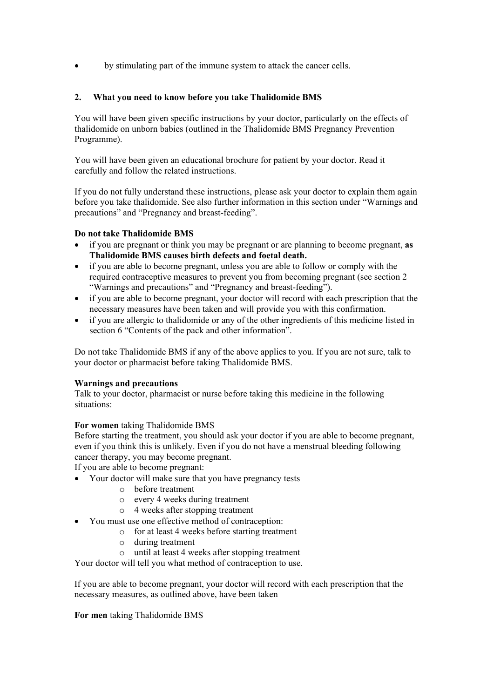by stimulating part of the immune system to attack the cancer cells.

# **2. What you need to know before you take Thalidomide BMS**

You will have been given specific instructions by your doctor, particularly on the effects of thalidomide on unborn babies (outlined in the Thalidomide BMS Pregnancy Prevention Programme).

You will have been given an educational brochure for patient by your doctor. Read it carefully and follow the related instructions.

If you do not fully understand these instructions, please ask your doctor to explain them again before you take thalidomide. See also further information in this section under "Warnings and precautions" and "Pregnancy and breast-feeding".

# **Do not take Thalidomide BMS**

- if you are pregnant or think you may be pregnant or are planning to become pregnant, **as Thalidomide BMS causes birth defects and foetal death.**
- if you are able to become pregnant, unless you are able to follow or comply with the required contraceptive measures to prevent you from becoming pregnant (see section 2 "Warnings and precautions" and "Pregnancy and breast-feeding").
- if you are able to become pregnant, your doctor will record with each prescription that the necessary measures have been taken and will provide you with this confirmation.
- if you are allergic to thalidomide or any of the other ingredients of this medicine listed in section 6 "Contents of the pack and other information".

Do not take Thalidomide BMS if any of the above applies to you. If you are not sure, talk to your doctor or pharmacist before taking Thalidomide BMS.

#### **Warnings and precautions**

Talk to your doctor, pharmacist or nurse before taking this medicine in the following situations:

# **For women** taking Thalidomide BMS

Before starting the treatment, you should ask your doctor if you are able to become pregnant, even if you think this is unlikely. Even if you do not have a menstrual bleeding following cancer therapy, you may become pregnant.

If you are able to become pregnant:

- Your doctor will make sure that you have pregnancy tests
	- o before treatment
	- o every 4 weeks during treatment
	- o 4 weeks after stopping treatment
- You must use one effective method of contraception:
	- o for at least 4 weeks before starting treatment
		- o during treatment
	- o until at least 4 weeks after stopping treatment

Your doctor will tell you what method of contraception to use.

If you are able to become pregnant, your doctor will record with each prescription that the necessary measures, as outlined above, have been taken

**For men** taking Thalidomide BMS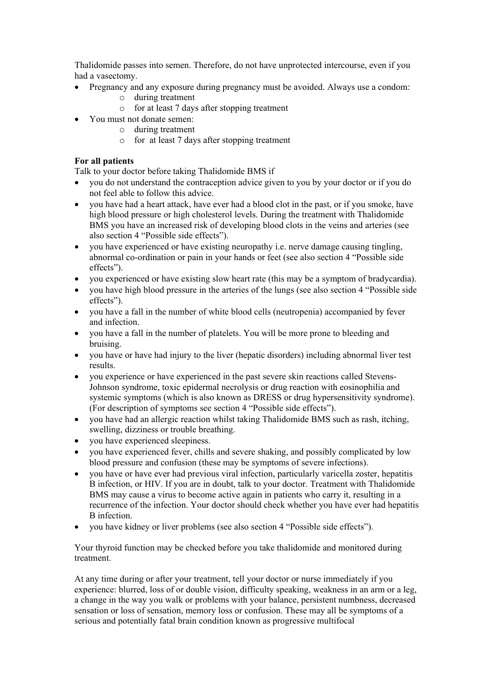Thalidomide passes into semen. Therefore, do not have unprotected intercourse, even if you had a vasectomy.

- Pregnancy and any exposure during pregnancy must be avoided. Always use a condom:
	- o during treatment
	- o for at least 7 days after stopping treatment
- You must not donate semen:
	- o during treatment
	- o for at least 7 days after stopping treatment

# **For all patients**

Talk to your doctor before taking Thalidomide BMS if

- you do not understand the contraception advice given to you by your doctor or if you do not feel able to follow this advice.
- you have had a heart attack, have ever had a blood clot in the past, or if you smoke, have high blood pressure or high cholesterol levels. During the treatment with Thalidomide BMS you have an increased risk of developing blood clots in the veins and arteries (see also section 4 "Possible side effects").
- you have experienced or have existing neuropathy i.e. nerve damage causing tingling, abnormal co-ordination or pain in your hands or feet (see also section 4 "Possible side effects").
- you experienced or have existing slow heart rate (this may be a symptom of bradycardia).
- vou have high blood pressure in the arteries of the lungs (see also section 4 "Possible side" effects").
- you have a fall in the number of white blood cells (neutropenia) accompanied by fever and infection.
- you have a fall in the number of platelets. You will be more prone to bleeding and bruising.
- you have or have had injury to the liver (hepatic disorders) including abnormal liver test results.
- you experience or have experienced in the past severe skin reactions called Stevens-Johnson syndrome, toxic epidermal necrolysis or drug reaction with eosinophilia and systemic symptoms (which is also known as DRESS or drug hypersensitivity syndrome). (For description of symptoms see section 4 "Possible side effects").
- you have had an allergic reaction whilst taking Thalidomide BMS such as rash, itching, swelling, dizziness or trouble breathing.
- you have experienced sleepiness.
- you have experienced fever, chills and severe shaking, and possibly complicated by low blood pressure and confusion (these may be symptoms of severe infections).
- you have or have ever had previous viral infection, particularly varicella zoster, hepatitis B infection, or HIV. If you are in doubt, talk to your doctor. Treatment with Thalidomide BMS may cause a virus to become active again in patients who carry it, resulting in a recurrence of the infection. Your doctor should check whether you have ever had hepatitis B infection.
- you have kidney or liver problems (see also section 4 "Possible side effects").

Your thyroid function may be checked before you take thalidomide and monitored during treatment.

At any time during or after your treatment, tell your doctor or nurse immediately if you experience: blurred, loss of or double vision, difficulty speaking, weakness in an arm or a leg, a change in the way you walk or problems with your balance, persistent numbness, decreased sensation or loss of sensation, memory loss or confusion. These may all be symptoms of a serious and potentially fatal brain condition known as progressive multifocal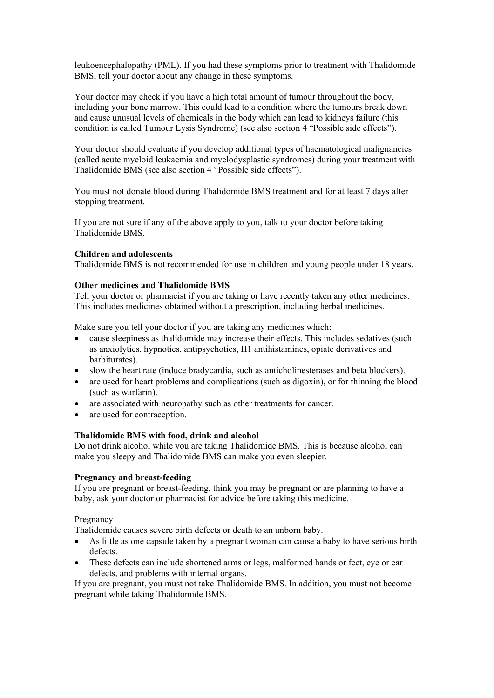leukoencephalopathy (PML). If you had these symptoms prior to treatment with Thalidomide BMS, tell your doctor about any change in these symptoms.

Your doctor may check if you have a high total amount of tumour throughout the body, including your bone marrow. This could lead to a condition where the tumours break down and cause unusual levels of chemicals in the body which can lead to kidneys failure (this condition is called Tumour Lysis Syndrome) (see also section 4 "Possible side effects").

Your doctor should evaluate if you develop additional types of haematological malignancies (called acute myeloid leukaemia and myelodysplastic syndromes) during your treatment with Thalidomide BMS (see also section 4 "Possible side effects").

You must not donate blood during Thalidomide BMS treatment and for at least 7 days after stopping treatment.

If you are not sure if any of the above apply to you, talk to your doctor before taking Thalidomide BMS.

#### **Children and adolescents**

Thalidomide BMS is not recommended for use in children and young people under 18 years.

#### **Other medicines and Thalidomide BMS**

Tell your doctor or pharmacist if you are taking or have recently taken any other medicines. This includes medicines obtained without a prescription, including herbal medicines.

Make sure you tell your doctor if you are taking any medicines which:

- cause sleepiness as thalidomide may increase their effects. This includes sedatives (such as anxiolytics, hypnotics, antipsychotics, H1 antihistamines, opiate derivatives and barbiturates).
- slow the heart rate (induce bradycardia, such as anticholinesterases and beta blockers).
- are used for heart problems and complications (such as digoxin), or for thinning the blood (such as warfarin).
- are associated with neuropathy such as other treatments for cancer.
- are used for contraception.

#### **Thalidomide BMS with food, drink and alcohol**

Do not drink alcohol while you are taking Thalidomide BMS. This is because alcohol can make you sleepy and Thalidomide BMS can make you even sleepier.

#### **Pregnancy and breast-feeding**

If you are pregnant or breast-feeding, think you may be pregnant or are planning to have a baby, ask your doctor or pharmacist for advice before taking this medicine.

#### Pregnancy

Thalidomide causes severe birth defects or death to an unborn baby.

- As little as one capsule taken by a pregnant woman can cause a baby to have serious birth defects.
- These defects can include shortened arms or legs, malformed hands or feet, eye or ear defects, and problems with internal organs.

If you are pregnant, you must not take Thalidomide BMS. In addition, you must not become pregnant while taking Thalidomide BMS.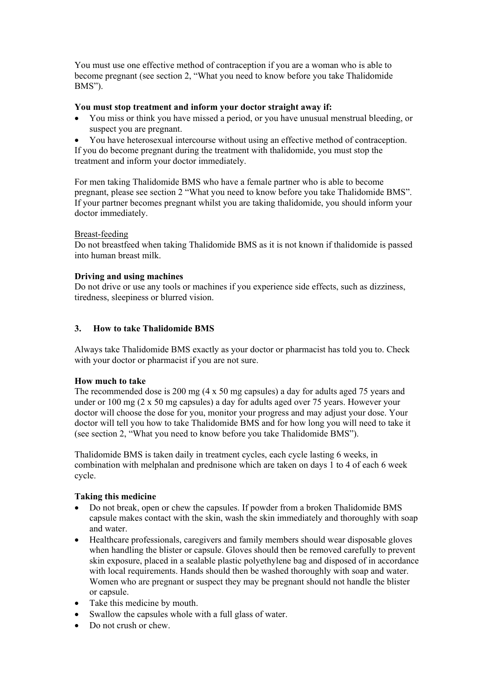You must use one effective method of contraception if you are a woman who is able to become pregnant (see section 2, "What you need to know before you take Thalidomide BMS").

#### **You must stop treatment and inform your doctor straight away if:**

- You miss or think you have missed a period, or you have unusual menstrual bleeding, or suspect you are pregnant.
- You have heterosexual intercourse without using an effective method of contraception. If you do become pregnant during the treatment with thalidomide, you must stop the treatment and inform your doctor immediately.

For men taking Thalidomide BMS who have a female partner who is able to become pregnant, please see section 2 "What you need to know before you take Thalidomide BMS". If your partner becomes pregnant whilst you are taking thalidomide, you should inform your doctor immediately.

#### Breast-feeding

Do not breastfeed when taking Thalidomide BMS as it is not known if thalidomide is passed into human breast milk.

#### **Driving and using machines**

Do not drive or use any tools or machines if you experience side effects, such as dizziness, tiredness, sleepiness or blurred vision.

## **3. How to take Thalidomide BMS**

Always take Thalidomide BMS exactly as your doctor or pharmacist has told you to. Check with your doctor or pharmacist if you are not sure.

#### **How much to take**

The recommended dose is 200 mg (4 x 50 mg capsules) a day for adults aged 75 years and under or  $100 \text{ mg}$  (2 x 50 mg capsules) a day for adults aged over 75 years. However your doctor will choose the dose for you, monitor your progress and may adjust your dose. Your doctor will tell you how to take Thalidomide BMS and for how long you will need to take it (see section 2, "What you need to know before you take Thalidomide BMS").

Thalidomide BMS is taken daily in treatment cycles, each cycle lasting 6 weeks, in combination with melphalan and prednisone which are taken on days 1 to 4 of each 6 week cycle.

#### **Taking this medicine**

- Do not break, open or chew the capsules. If powder from a broken Thalidomide BMS capsule makes contact with the skin, wash the skin immediately and thoroughly with soap and water.
- Healthcare professionals, caregivers and family members should wear disposable gloves when handling the blister or capsule. Gloves should then be removed carefully to prevent skin exposure, placed in a sealable plastic polyethylene bag and disposed of in accordance with local requirements. Hands should then be washed thoroughly with soap and water. Women who are pregnant or suspect they may be pregnant should not handle the blister or capsule.
- Take this medicine by mouth.
- Swallow the capsules whole with a full glass of water.
- Do not crush or chew.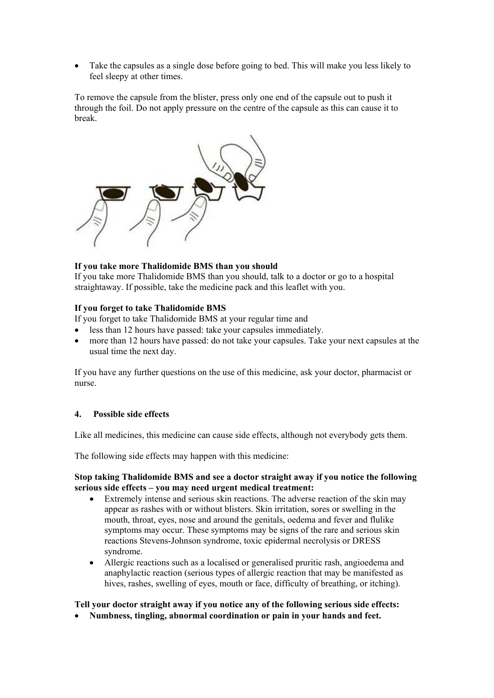• Take the capsules as a single dose before going to bed. This will make you less likely to feel sleepy at other times.

To remove the capsule from the blister, press only one end of the capsule out to push it through the foil. Do not apply pressure on the centre of the capsule as this can cause it to break.



#### **If you take more Thalidomide BMS than you should**

If you take more Thalidomide BMS than you should, talk to a doctor or go to a hospital straightaway. If possible, take the medicine pack and this leaflet with you.

#### **If you forget to take Thalidomide BMS**

If you forget to take Thalidomide BMS at your regular time and

- less than 12 hours have passed: take your capsules immediately.
- more than 12 hours have passed: do not take your capsules. Take your next capsules at the usual time the next day.

If you have any further questions on the use of this medicine, ask your doctor, pharmacist or nurse.

## **4. Possible side effects**

Like all medicines, this medicine can cause side effects, although not everybody gets them.

The following side effects may happen with this medicine:

#### **Stop taking Thalidomide BMS and see a doctor straight away if you notice the following serious side effects – you may need urgent medical treatment:**

- Extremely intense and serious skin reactions. The adverse reaction of the skin may appear as rashes with or without blisters. Skin irritation, sores or swelling in the mouth, throat, eyes, nose and around the genitals, oedema and fever and flulike symptoms may occur. These symptoms may be signs of the rare and serious skin reactions Stevens-Johnson syndrome, toxic epidermal necrolysis or DRESS syndrome.
- Allergic reactions such as a localised or generalised pruritic rash, angioedema and anaphylactic reaction (serious types of allergic reaction that may be manifested as hives, rashes, swelling of eyes, mouth or face, difficulty of breathing, or itching).

#### **Tell your doctor straight away if you notice any of the following serious side effects:**

• **Numbness, tingling, abnormal coordination or pain in your hands and feet.**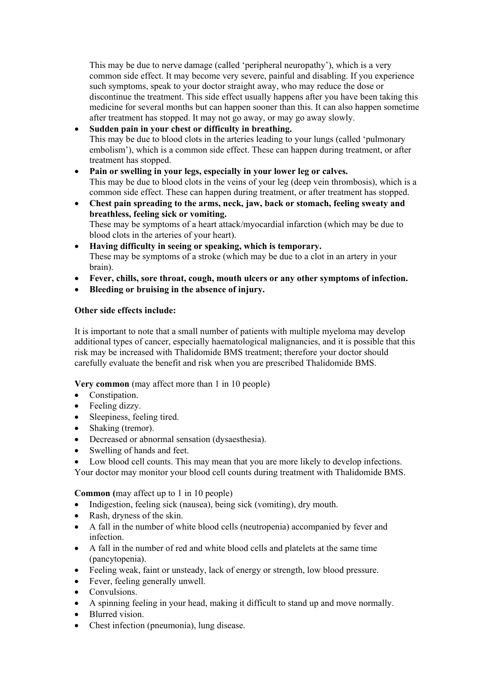This may be due to nerve damage (called 'peripheral neuropathy'), which is a very common side effect. It may become very severe, painful and disabling. If you experience such symptoms, speak to your doctor straight away, who may reduce the dose or discontinue the treatment. This side effect usually happens after you have been taking this medicine for several months but can happen sooner than this. It can also happen sometime after treatment has stopped. It may not go away, or may go away slowly.

# • **Sudden pain in your chest or difficulty in breathing.**

This may be due to blood clots in the arteries leading to your lungs (called 'pulmonary embolism'), which is a common side effect. These can happen during treatment, or after treatment has stopped.

- **Pain or swelling in your legs, especially in your lower leg or calves.** This may be due to blood clots in the veins of your leg (deep vein thrombosis), which is a common side effect. These can happen during treatment, or after treatment has stopped.
- **Chest pain spreading to the arms, neck, jaw, back or stomach, feeling sweaty and breathless, feeling sick or vomiting.** These may be symptoms of a heart attack/myocardial infarction (which may be due to
- blood clots in the arteries of your heart). • **Having difficulty in seeing or speaking, which is temporary.** These may be symptoms of a stroke (which may be due to a clot in an artery in your
- brain). • **Fever, chills, sore throat, cough, mouth ulcers or any other symptoms of infection.**
- **Bleeding or bruising in the absence of injury.**

# **Other side effects include:**

It is important to note that a small number of patients with multiple myeloma may develop additional types of cancer, especially haematological malignancies, and it is possible that this risk may be increased with Thalidomide BMS treatment; therefore your doctor should carefully evaluate the benefit and risk when you are prescribed Thalidomide BMS.

**Very common** (may affect more than 1 in 10 people)

- Constipation.
- Feeling dizzy.
- Sleepiness, feeling tired.
- Shaking (tremor).
- Decreased or abnormal sensation (dysaesthesia).
- Swelling of hands and feet.

Low blood cell counts. This may mean that you are more likely to develop infections.

Your doctor may monitor your blood cell counts during treatment with Thalidomide BMS.

**Common (**may affect up to 1 in 10 people)

- Indigestion, feeling sick (nausea), being sick (vomiting), dry mouth.
- Rash, dryness of the skin.
- A fall in the number of white blood cells (neutropenia) accompanied by fever and infection.
- A fall in the number of red and white blood cells and platelets at the same time (pancytopenia).
- Feeling weak, faint or unsteady, lack of energy or strength, low blood pressure.
- Fever, feeling generally unwell.
- Convulsions.
- A spinning feeling in your head, making it difficult to stand up and move normally.
- Blurred vision.
- Chest infection (pneumonia), lung disease.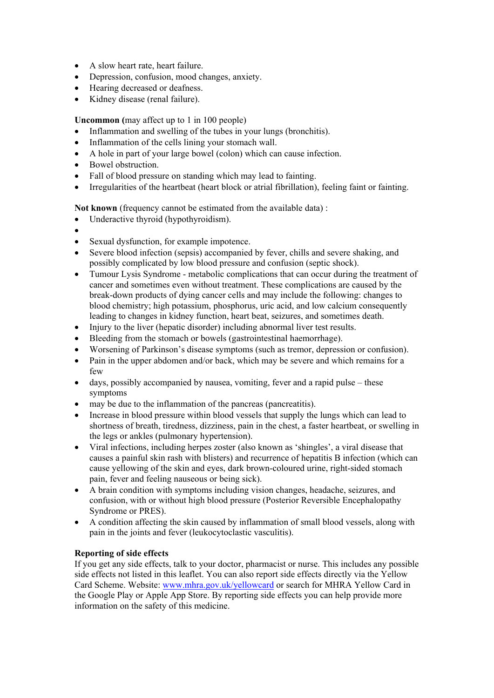- A slow heart rate, heart failure.
- Depression, confusion, mood changes, anxiety.
- Hearing decreased or deafness.
- Kidney disease (renal failure).

**Uncommon (**may affect up to 1 in 100 people)

- Inflammation and swelling of the tubes in your lungs (bronchitis).
- Inflammation of the cells lining your stomach wall.
- A hole in part of your large bowel (colon) which can cause infection.
- Bowel obstruction.
- Fall of blood pressure on standing which may lead to fainting.
- Irregularities of the heartbeat (heart block or atrial fibrillation), feeling faint or fainting.

**Not known** (frequency cannot be estimated from the available data) :

- Underactive thyroid (hypothyroidism).
- •
- Sexual dysfunction, for example impotence.
- Severe blood infection (sepsis) accompanied by fever, chills and severe shaking, and possibly complicated by low blood pressure and confusion (septic shock).
- Tumour Lysis Syndrome metabolic complications that can occur during the treatment of cancer and sometimes even without treatment. These complications are caused by the break-down products of dying cancer cells and may include the following: changes to blood chemistry; high potassium, phosphorus, uric acid, and low calcium consequently leading to changes in kidney function, heart beat, seizures, and sometimes death.
- Injury to the liver (hepatic disorder) including abnormal liver test results.
- Bleeding from the stomach or bowels (gastrointestinal haemorrhage).
- Worsening of Parkinson's disease symptoms (such as tremor, depression or confusion).
- Pain in the upper abdomen and/or back, which may be severe and which remains for a few
- days, possibly accompanied by nausea, vomiting, fever and a rapid pulse these symptoms
- may be due to the inflammation of the pancreas (pancreatitis).
- Increase in blood pressure within blood vessels that supply the lungs which can lead to shortness of breath, tiredness, dizziness, pain in the chest, a faster heartbeat, or swelling in the legs or ankles (pulmonary hypertension).
- Viral infections, including herpes zoster (also known as 'shingles', a viral disease that causes a painful skin rash with blisters) and recurrence of hepatitis B infection (which can cause yellowing of the skin and eyes, dark brown-coloured urine, right-sided stomach pain, fever and feeling nauseous or being sick).
- A brain condition with symptoms including vision changes, headache, seizures, and confusion, with or without high blood pressure (Posterior Reversible Encephalopathy Syndrome or PRES).
- A condition affecting the skin caused by inflammation of small blood vessels, along with pain in the joints and fever (leukocytoclastic vasculitis).

#### **Reporting of side effects**

If you get any side effects, talk to your doctor, pharmacist or nurse. This includes any possible side effects not listed in this leaflet. You can also report side effects directly via the Yellow Card Scheme. Website: [www.mhra.gov.uk/yellowcard](http://www.mhra.gov.uk/yellowcard) or search for MHRA Yellow Card in the Google Play or Apple App Store. By reporting side effects you can help provide more information on the safety of this medicine.